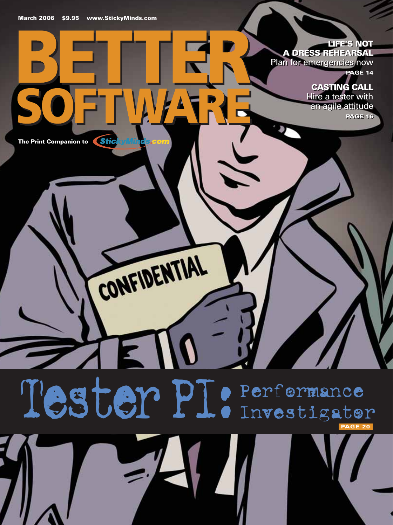## **LIFE'S NOT LIFE'S NOT**

**A DRESS REHEARSAL A DRESS REHEARSAL**  Plan for emergencies now Plan for emergencies now **PAGE 14 PAGE 14**

# **CASTING CALL CASTING CALL**

Hire a tester with Hire a tester with an agile attitude an agile attitude **PAGE 16 PAGE 16**

**The Print Companion to**

# Tester PI: Performance Investigator **PAGE 20**

CONFIDENTIAL

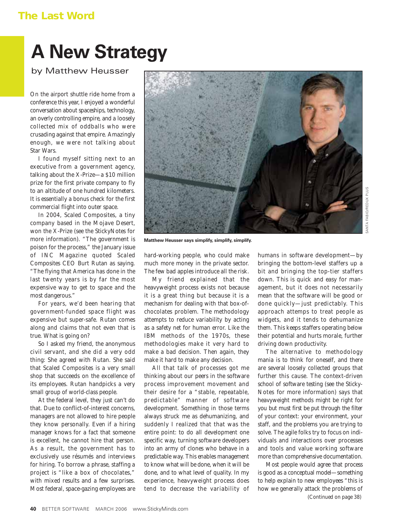### **The Last Word**

# **A New Strategy**

by Matthew Heusser

On the airport shuttle ride home from a conference this year, I enjoyed a wonderful conversation about spaceships, technology, an overly controlling empire, and a loosely collected mix of oddballs who were crusading against that empire. Amazingly enough, we were not talking about *Star Wars*.

I found myself sitting next to an executive from a government agency, talking about the X-Prize—a \$10 million prize for the first private company to fly to an altitude of one hundred kilometers. It is essentially a bonus check for the first commercial flight into outer space.

In 2004, Scaled Composites, a tiny company based in the Mojave Desert, won the X-Prize (see the StickyNotes for more information). "The government is poison for the process," the January issue of *INC Magazine* quoted Scaled Composites CEO Burt Rutan as saying. "The flying that America has done in the last twenty years is by far the most expensive way to get to space and the most dangerous."

For years, we'd been hearing that government-funded space flight was expensive but super-safe. Rutan comes along and claims that not even that is true. What is going on?

So I asked my friend, the anonymous civil servant, and she did a very odd thing: She agreed with Rutan. She said that Scaled Composites is a very small shop that succeeds on the excellence of its employees. Rutan handpicks a very small group of world-class people.

At the federal level, they just can't do that. Due to conflict-of-interest concerns, managers are not allowed to hire people they know personally. Even if a hiring manager knows for a fact that someone is excellent, *he cannot hire that person*. As a result, the government has to exclusively use résumés and interviews for hiring. To borrow a phrase, staffing a project is "like a box of chocolates," with mixed results and a few surprises. Most federal, space-gazing employees are



**Matthew Heusser says simplify, simplify, simplify.**

hard-working people, who could make much more money in the private sector. The few bad apples introduce all the risk.

My friend explained that the heavyweight process exists not because it is a great thing but because it is a mechanism for dealing with that box-ofchocolates problem. The methodology attempts to reduce variability by acting as a safety net for human error. Like the IBM methods of the 1970s, these methodologies make it very hard to make a bad decision. Then again, they make it hard to make *any* decision.

All that talk of processes got me thinking about our peers in the software process improvement movement and their desire for a "stable, repeatable, predictable" manner of software development. Something in those terms always struck me as dehumanizing, and suddenly I realized that *that* was the entire point: to do all development one specific way, turning software developers into an army of clones who behave in a predictable way. This enables management to know what will be done, when it will be done, and to what level of quality. In my experience, heavyweight process does tend to decrease the variability of

humans in software development—by bringing the bottom-level staffers up a bit and bringing the top-tier staffers down. This is quick and easy for management, but it does not necessarily mean that the software will be good or done quickly—just predictably. This approach attemps to treat people as widgets, and it tends to dehumanize them. This keeps staffers operating below their potential and hurts morale, further driving down productivity.

The alternative to methodology mania is to think for oneself, and there are several loosely collected groups that further this cause. The context-driven school of software testing (see the Sticky-Notes for more information) says that heavyweight methods *might* be right for you but must first be put through the filter of your context: your environment, your staff, and the problems you are trying to solve. The agile folks try to focus on individuals and interactions over processes and tools and value working software more than comprehensive documentation.

Most people would agree that process is good as a conceptual model—something to help explain to new employees "this is how we generally attack the problems of *(Continued on page 38)*